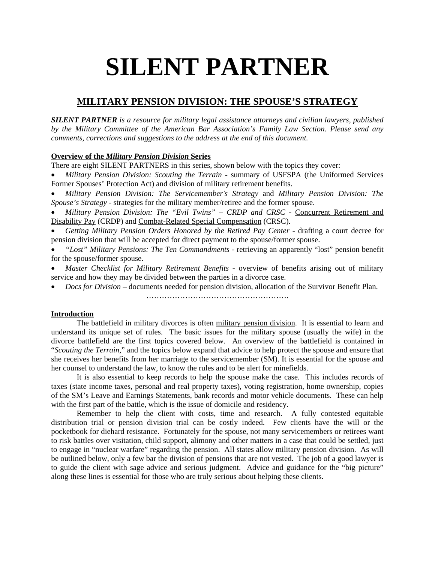# **SILENT PARTNER**

# **MILITARY PENSION DIVISION: THE SPOUSE'S STRATEGY**

*SILENT PARTNER is a resource for military legal assistance attorneys and civilian lawyers, published by the Military Committee of the American Bar Association's Family Law Section. Please send any comments, corrections and suggestions to the address at the end of this document.*

# **Overview of the** *Military Pension Division* **Series**

There are eight SILENT PARTNERS in this series, shown below with the topics they cover:

 *Military Pension Division: Scouting the Terrain* - summary of USFSPA (the Uniformed Services Former Spouses' Protection Act) and division of military retirement benefits.

 *Military Pension Division: The Servicemember's Strategy* and *Military Pension Division: The Spouse's Strategy* - strategies for the military member/retiree and the former spouse.

 *Military Pension Division: The "Evil Twins" – CRDP and CRSC* - Concurrent Retirement and Disability Pay (CRDP) and Combat-Related Special Compensation (CRSC).

 *Getting Military Pension Orders Honored by the Retired Pay Center* - drafting a court decree for pension division that will be accepted for direct payment to the spouse/former spouse.

 *"Lost" Military Pensions: The Ten Commandments* - retrieving an apparently "lost" pension benefit for the spouse/former spouse.

 *Master Checklist for Military Retirement Benefits* - overview of benefits arising out of military service and how they may be divided between the parties in a divorce case.

*Docs for Division* – documents needed for pension division, allocation of the Survivor Benefit Plan.

………………………………………………………

## **Introduction**

The battlefield in military divorces is often military pension division. It is essential to learn and understand its unique set of rules. The basic issues for the military spouse (usually the wife) in the divorce battlefield are the first topics covered below. An overview of the battlefield is contained in "*Scouting the Terrain*," and the topics below expand that advice to help protect the spouse and ensure that she receives her benefits from her marriage to the servicemember (SM). It is essential for the spouse and her counsel to understand the law, to know the rules and to be alert for minefields.

It is also essential to keep records to help the spouse make the case. This includes records of taxes (state income taxes, personal and real property taxes), voting registration, home ownership, copies of the SM's Leave and Earnings Statements, bank records and motor vehicle documents. These can help with the first part of the battle, which is the issue of domicile and residency.

Remember to help the client with costs, time and research. A fully contested equitable distribution trial or pension division trial can be costly indeed. Few clients have the will or the pocketbook for diehard resistance. Fortunately for the spouse, not many servicemembers or retirees want to risk battles over visitation, child support, alimony and other matters in a case that could be settled, just to engage in "nuclear warfare" regarding the pension. All states allow military pension division. As will be outlined below, only a few bar the division of pensions that are not vested. The job of a good lawyer is to guide the client with sage advice and serious judgment. Advice and guidance for the "big picture" along these lines is essential for those who are truly serious about helping these clients.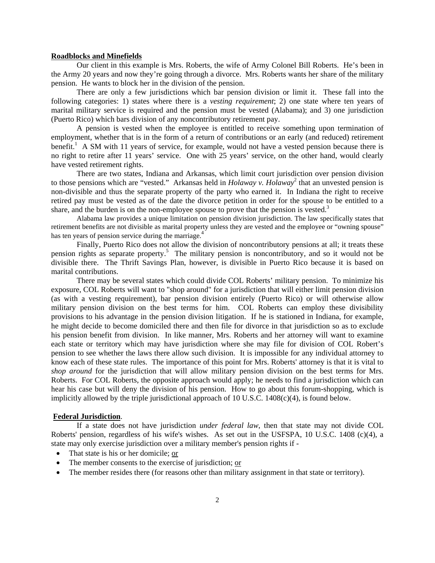#### **Roadblocks and Minefields**

Our client in this example is Mrs. Roberts, the wife of Army Colonel Bill Roberts. He's been in the Army 20 years and now they're going through a divorce. Mrs. Roberts wants her share of the military pension. He wants to block her in the division of the pension.

There are only a few jurisdictions which bar pension division or limit it. These fall into the following categories: 1) states where there is a *vesting requirement*; 2) one state where ten years of marital military service is required and the pension must be vested (Alabama); and 3) one jurisdiction (Puerto Rico) which bars division of any noncontributory retirement pay.

A pension is vested when the employee is entitled to receive something upon termination of employment, whether that is in the form of a return of contributions or an early (and reduced) retirement benefit.<sup>1</sup> A SM with 11 years of service, for example, would not have a vested pension because there is no right to retire after 11 years' service. One with 25 years' service, on the other hand, would clearly have vested retirement rights.

There are two states, Indiana and Arkansas, which limit court jurisdiction over pension division to those pensions which are "vested." Arkansas held in *Holaway v. Holaway*<sup>2</sup> that an unvested pension is non-divisible and thus the separate property of the party who earned it. In Indiana the right to receive retired pay must be vested as of the date the divorce petition in order for the spouse to be entitled to a share, and the burden is on the non-employee spouse to prove that the pension is vested.<sup>3</sup>

Alabama law provides a unique limitation on pension division jurisdiction. The law specifically states that retirement benefits are not divisible as marital property unless they are vested and the employee or "owning spouse" has ten years of pension service during the marriage.<sup>4</sup>

Finally, Puerto Rico does not allow the division of noncontributory pensions at all; it treats these pension rights as separate property.<sup>5</sup> The military pension is noncontributory, and so it would not be divisible there. The Thrift Savings Plan, however, is divisible in Puerto Rico because it is based on marital contributions.

There may be several states which could divide COL Roberts' military pension. To minimize his exposure, COL Roberts will want to "shop around" for a jurisdiction that will either limit pension division (as with a vesting requirement), bar pension division entirely (Puerto Rico) or will otherwise allow military pension division on the best terms for him. COL Roberts can employ these divisibility provisions to his advantage in the pension division litigation. If he is stationed in Indiana, for example, he might decide to become domiciled there and then file for divorce in that jurisdiction so as to exclude his pension benefit from division. In like manner, Mrs. Roberts and her attorney will want to examine each state or territory which may have jurisdiction where she may file for division of COL Robert's pension to see whether the laws there allow such division. It is impossible for any individual attorney to know each of these state rules. The importance of this point for Mrs. Roberts' attorney is that it is vital to *shop around* for the jurisdiction that will allow military pension division on the best terms for Mrs. Roberts. For COL Roberts, the opposite approach would apply; he needs to find a jurisdiction which can hear his case but will deny the division of his pension. How to go about this forum-shopping, which is implicitly allowed by the triple jurisdictional approach of 10 U.S.C. 1408(c)(4), is found below.

#### **Federal Jurisdiction**.

If a state does not have jurisdiction *under federal law*, then that state may not divide COL Roberts' pension, regardless of his wife's wishes. As set out in the USFSPA, 10 U.S.C. 1408 (c)(4), a state may only exercise jurisdiction over a military member's pension rights if -

- That state is his or her domicile; or
- The member consents to the exercise of jurisdiction; or
- The member resides there (for reasons other than military assignment in that state or territory).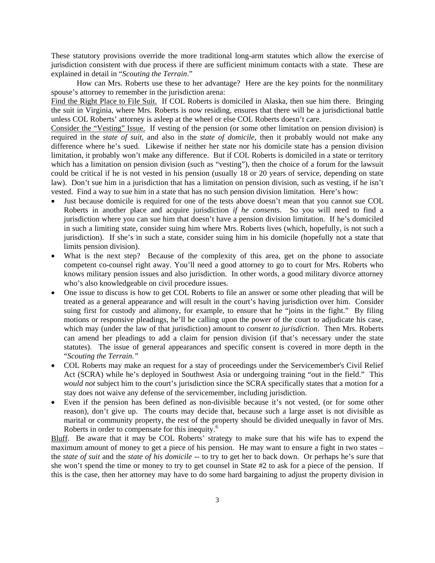These statutory provisions override the more traditional long-arm statutes which allow the exercise of jurisdiction consistent with due process if there are sufficient minimum contacts with a state. These are explained in detail in "*Scouting the Terrain*."

How can Mrs. Roberts use these to her advantage? Here are the key points for the nonmilitary spouse's attorney to remember in the jurisdiction arena:

Find the Right Place to File Suit. If COL Roberts is domiciled in Alaska, then sue him there. Bringing the suit in Virginia, where Mrs. Roberts is now residing, ensures that there will be a jurisdictional battle unless COL Roberts' attorney is asleep at the wheel or else COL Roberts doesn't care.

Consider the "Vesting" Issue. If vesting of the pension (or some other limitation on pension division) is required in the *state of suit*, and also in the *state of domicile*, then it probably would not make any difference where he's sued. Likewise if neither her state nor his domicile state has a pension division limitation, it probably won't make any difference. But if COL Roberts is domiciled in a state or territory which has a limitation on pension division (such as "vesting"), then the choice of a forum for the lawsuit could be critical if he is not vested in his pension (usually 18 or 20 years of service, depending on state law). Don't sue him in a jurisdiction that has a limitation on pension division, such as vesting, if he isn't vested. Find a way to sue him in a state that has no such pension division limitation. Here's how:

- Just because domicile is required for one of the tests above doesn't mean that you cannot sue COL Roberts in another place and acquire jurisdiction *if he consents*. So you will need to find a jurisdiction where you can sue him that doesn't have a pension division limitation. If he's domiciled in such a limiting state, consider suing him where Mrs. Roberts lives (which, hopefully, is not such a jurisdiction). If she's in such a state, consider suing him in his domicile (hopefully not a state that limits pension division).
- What is the next step? Because of the complexity of this area, get on the phone to associate competent co-counsel right away. You'll need a good attorney to go to court for Mrs. Roberts who knows military pension issues and also jurisdiction. In other words, a good military divorce attorney who's also knowledgeable on civil procedure issues.
- One issue to discuss is how to get COL Roberts to file an answer or some other pleading that will be treated as a general appearance and will result in the court's having jurisdiction over him. Consider suing first for custody and alimony, for example, to ensure that he "joins in the fight." By filing motions or responsive pleadings, he'll be calling upon the power of the court to adjudicate his case, which may (under the law of that jurisdiction) amount to *consent to jurisdiction*. Then Mrs. Roberts can amend her pleadings to add a claim for pension division (if that's necessary under the state statutes). The issue of general appearances and specific consent is covered in more depth in the "*Scouting the Terrain."*
- COL Roberts may make an request for a stay of proceedings under the Servicemember's Civil Relief Act (SCRA) while he's deployed in Southwest Asia or undergoing training "out in the field." This *would not* subject him to the court's jurisdiction since the SCRA specifically states that a motion for a stay does not waive any defense of the servicemember, including jurisdiction.
- Even if the pension has been defined as non-divisible because it's not vested, (or for some other reason), don't give up. The courts may decide that, because such a large asset is not divisible as marital or community property, the rest of the property should be divided unequally in favor of Mrs. Roberts in order to compensate for this inequity.<sup>6</sup>

Bluff. Be aware that it may be COL Roberts' strategy to make sure that his wife has to expend the maximum amount of money to get a piece of his pension. He may want to ensure a fight in two states – the *state of suit* and the *state of his domicile* -- to try to get her to back down. Or perhaps he's sure that she won't spend the time or money to try to get counsel in State #2 to ask for a piece of the pension. If this is the case, then her attorney may have to do some hard bargaining to adjust the property division in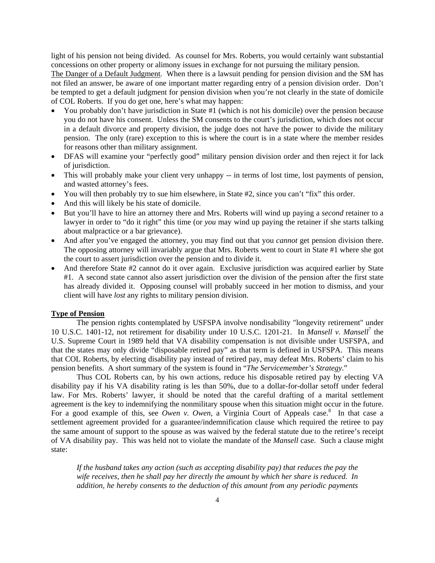light of his pension not being divided. As counsel for Mrs. Roberts, you would certainly want substantial concessions on other property or alimony issues in exchange for not pursuing the military pension.

The Danger of a Default Judgment. When there is a lawsuit pending for pension division and the SM has not filed an answer, be aware of one important matter regarding entry of a pension division order. Don't be tempted to get a default judgment for pension division when you're not clearly in the state of domicile of COL Roberts. If you do get one, here's what may happen:

- You probably don't have jurisdiction in State #1 (which is not his domicile) over the pension because you do not have his consent. Unless the SM consents to the court's jurisdiction, which does not occur in a default divorce and property division, the judge does not have the power to divide the military pension. The only (rare) exception to this is where the court is in a state where the member resides for reasons other than military assignment.
- DFAS will examine your "perfectly good" military pension division order and then reject it for lack of jurisdiction.
- This will probably make your client very unhappy -- in terms of lost time, lost payments of pension, and wasted attorney's fees.
- You will then probably try to sue him elsewhere, in State #2, since you can't "fix" this order.
- And this will likely be his state of domicile.
- But you'll have to hire an attorney there and Mrs. Roberts will wind up paying a *second* retainer to a lawyer in order to "do it right" this time (or *you* may wind up paying the retainer if she starts talking about malpractice or a bar grievance).
- And after you've engaged the attorney, you may find out that you *cannot* get pension division there. The opposing attorney will invariably argue that Mrs. Roberts went to court in State #1 where she got the court to assert jurisdiction over the pension and to divide it.
- And therefore State #2 cannot do it over again. Exclusive jurisdiction was acquired earlier by State #1. A second state cannot also assert jurisdiction over the division of the pension after the first state has already divided it. Opposing counsel will probably succeed in her motion to dismiss, and your client will have *lost* any rights to military pension division.

#### **Type of Pension**

The pension rights contemplated by USFSPA involve nondisability "longevity retirement" under 10 U.S.C. 1401-12, not retirement for disability under 10 U.S.C. 1201-21. In *Mansell v. Mansell*<sup>7</sup> the U.S. Supreme Court in 1989 held that VA disability compensation is not divisible under USFSPA, and that the states may only divide "disposable retired pay" as that term is defined in USFSPA. This means that COL Roberts, by electing disability pay instead of retired pay, may defeat Mrs. Roberts' claim to his pension benefits. A short summary of the system is found in "*The Servicemember's Strategy*."

Thus COL Roberts can, by his own actions, reduce his disposable retired pay by electing VA disability pay if his VA disability rating is les than 50%, due to a dollar-for-dollar setoff under federal law. For Mrs. Roberts' lawyer, it should be noted that the careful drafting of a marital settlement agreement is the key to indemnifying the nonmilitary spouse when this situation might occur in the future. For a good example of this, see *Owen v. Owen*, a Virginia Court of Appeals case.<sup>8</sup> In that case a settlement agreement provided for a guarantee/indemnification clause which required the retiree to pay the same amount of support to the spouse as was waived by the federal statute due to the retiree's receipt of VA disability pay. This was held not to violate the mandate of the *Mansell* case. Such a clause might state:

*If the husband takes any action (such as accepting disability pay) that reduces the pay the wife receives, then he shall pay her directly the amount by which her share is reduced. In addition, he hereby consents to the deduction of this amount from any periodic payments*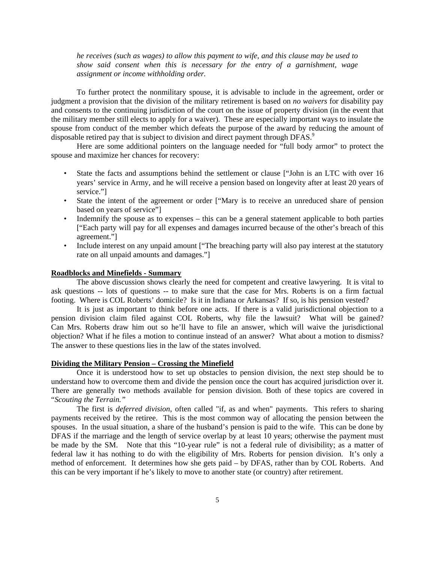*he receives (such as wages) to allow this payment to wife, and this clause may be used to show said consent when this is necessary for the entry of a garnishment, wage assignment or income withholding order.* 

 To further protect the nonmilitary spouse, it is advisable to include in the agreement, order or judgment a provision that the division of the military retirement is based on *no waivers* for disability pay and consents to the continuing jurisdiction of the court on the issue of property division (in the event that the military member still elects to apply for a waiver). These are especially important ways to insulate the spouse from conduct of the member which defeats the purpose of the award by reducing the amount of disposable retired pay that is subject to division and direct payment through DFAS.<sup>9</sup>

Here are some additional pointers on the language needed for "full body armor" to protect the spouse and maximize her chances for recovery:

- State the facts and assumptions behind the settlement or clause ["John is an LTC with over 16 years' service in Army, and he will receive a pension based on longevity after at least 20 years of service."]
- State the intent of the agreement or order ["Mary is to receive an unreduced share of pension based on years of service"]
- Indemnify the spouse as to expenses this can be a general statement applicable to both parties ["Each party will pay for all expenses and damages incurred because of the other's breach of this agreement."]
- Include interest on any unpaid amount ["The breaching party will also pay interest at the statutory rate on all unpaid amounts and damages."]

#### **Roadblocks and Minefields - Summary**

The above discussion shows clearly the need for competent and creative lawyering. It is vital to ask questions -- lots of questions -- to make sure that the case for Mrs. Roberts is on a firm factual footing. Where is COL Roberts' domicile? Is it in Indiana or Arkansas? If so, is his pension vested?

It is just as important to think before one acts. If there is a valid jurisdictional objection to a pension division claim filed against COL Roberts, why file the lawsuit? What will be gained? Can Mrs. Roberts draw him out so he'll have to file an answer, which will waive the jurisdictional objection? What if he files a motion to continue instead of an answer? What about a motion to dismiss? The answer to these questions lies in the law of the states involved.

#### **Dividing the Military Pension – Crossing the Minefield**

Once it is understood how to set up obstacles to pension division, the next step should be to understand how to overcome them and divide the pension once the court has acquired jurisdiction over it. There are generally two methods available for pension division. Both of these topics are covered in "*Scouting the Terrain."*

The first is *deferred division*, often called "if, as and when" payments. This refers to sharing payments received by the retiree. This is the most common way of allocating the pension between the spouses. In the usual situation, a share of the husband's pension is paid to the wife. This can be done by DFAS if the marriage and the length of service overlap by at least 10 years; otherwise the payment must be made by the SM. Note that this "10-year rule" is not a federal rule of divisibility; as a matter of federal law it has nothing to do with the eligibility of Mrs. Roberts for pension division. It's only a method of enforcement. It determines how she gets paid – by DFAS, rather than by COL Roberts. And this can be very important if he's likely to move to another state (or country) after retirement.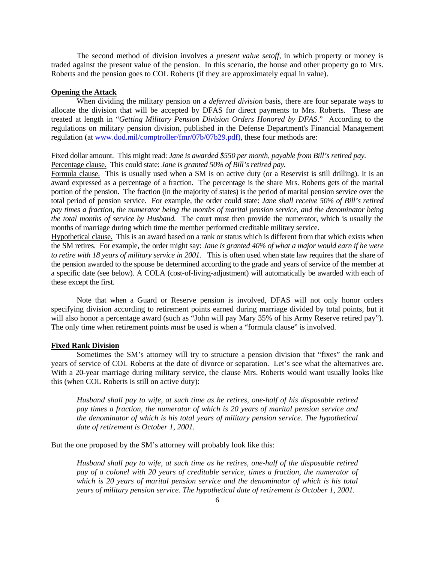The second method of division involves a *present value setoff*, in which property or money is traded against the present value of the pension. In this scenario, the house and other property go to Mrs. Roberts and the pension goes to COL Roberts (if they are approximately equal in value).

#### **Opening the Attack**

When dividing the military pension on a *deferred division* basis, there are four separate ways to allocate the division that will be accepted by DFAS for direct payments to Mrs. Roberts. These are treated at length in "*Getting Military Pension Division Orders Honored by DFAS*." According to the regulations on military pension division, published in the Defense Department's Financial Management regulation (at www.dod.mil/comptroller/fmr/07b/07b29.pdf), these four methods are:

# Fixed dollar amount. This might read: *Jane is awarded \$550 per month, payable from Bill's retired pay.* Percentage clause. This could state: *Jane is granted 50% of Bill's retired pay.*

Formula clause. This is usually used when a SM is on active duty (or a Reservist is still drilling). It is an award expressed as a percentage of a fraction. The percentage is the share Mrs. Roberts gets of the marital portion of the pension. The fraction (in the majority of states) is the period of marital pension service over the total period of pension service. For example, the order could state: *Jane shall receive 50% of Bill's retired pay times a fraction, the numerator being the months of marital pension service, and the denominator being the total months of service by Husband.* The court must then provide the numerator, which is usually the months of marriage during which time the member performed creditable military service.

Hypothetical clause. This is an award based on a rank or status which is different from that which exists when the SM retires. For example, the order might say: *Jane is granted 40% of what a major would earn if he were to retire with 18 years of military service in 2001.* This is often used when state law requires that the share of the pension awarded to the spouse be determined according to the grade and years of service of the member at a specific date (see below). A COLA (cost-of-living-adjustment) will automatically be awarded with each of these except the first.

 Note that when a Guard or Reserve pension is involved, DFAS will not only honor orders specifying division according to retirement points earned during marriage divided by total points, but it will also honor a percentage award (such as "John will pay Mary 35% of his Army Reserve retired pay"). The only time when retirement points *must* be used is when a "formula clause" is involved.

#### **Fixed Rank Division**

Sometimes the SM's attorney will try to structure a pension division that "fixes" the rank and years of service of COL Roberts at the date of divorce or separation. Let's see what the alternatives are. With a 20-year marriage during military service, the clause Mrs. Roberts would want usually looks like this (when COL Roberts is still on active duty):

*Husband shall pay to wife, at such time as he retires, one-half of his disposable retired pay times a fraction, the numerator of which is 20 years of marital pension service and the denominator of which is his total years of military pension service. The hypothetical date of retirement is October 1, 2001.*

But the one proposed by the SM's attorney will probably look like this:

*Husband shall pay to wife, at such time as he retires, one-half of the disposable retired pay of a colonel with 20 years of creditable service, times a fraction, the numerator of which is 20 years of marital pension service and the denominator of which is his total years of military pension service. The hypothetical date of retirement is October 1, 2001.*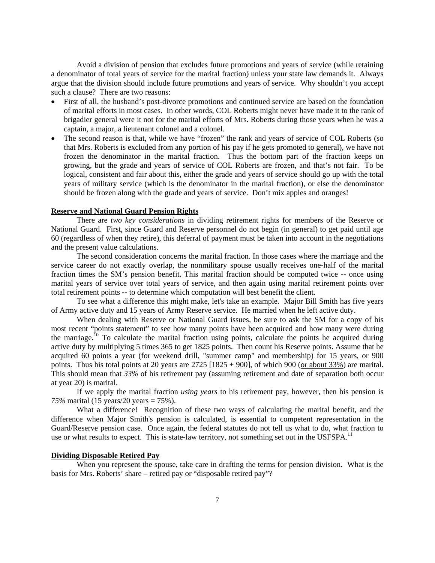Avoid a division of pension that excludes future promotions and years of service (while retaining a denominator of total years of service for the marital fraction) unless your state law demands it. Always argue that the division should include future promotions and years of service. Why shouldn't you accept such a clause? There are two reasons:

- First of all, the husband's post-divorce promotions and continued service are based on the foundation of marital efforts in most cases. In other words, COL Roberts might never have made it to the rank of brigadier general were it not for the marital efforts of Mrs. Roberts during those years when he was a captain, a major, a lieutenant colonel and a colonel.
- The second reason is that, while we have "frozen" the rank and years of service of COL Roberts (so that Mrs. Roberts is excluded from any portion of his pay if he gets promoted to general), we have not frozen the denominator in the marital fraction. Thus the bottom part of the fraction keeps on growing, but the grade and years of service of COL Roberts are frozen, and that's not fair. To be logical, consistent and fair about this, either the grade and years of service should go up with the total years of military service (which is the denominator in the marital fraction), or else the denominator should be frozen along with the grade and years of service. Don't mix apples and oranges!

# **Reserve and National Guard Pension Rights**

There are *two key considerations* in dividing retirement rights for members of the Reserve or National Guard. First, since Guard and Reserve personnel do not begin (in general) to get paid until age 60 (regardless of when they retire), this deferral of payment must be taken into account in the negotiations and the present value calculations.

The second consideration concerns the marital fraction. In those cases where the marriage and the service career do not exactly overlap, the nonmilitary spouse usually receives one-half of the marital fraction times the SM's pension benefit. This marital fraction should be computed twice -- once using marital years of service over total years of service, and then again using marital retirement points over total retirement points -- to determine which computation will best benefit the client.

To see what a difference this might make, let's take an example. Major Bill Smith has five years of Army active duty and 15 years of Army Reserve service. He married when he left active duty.

 When dealing with Reserve or National Guard issues, be sure to ask the SM for a copy of his most recent "points statement" to see how many points have been acquired and how many were during the marriage.<sup>10</sup> To calculate the marital fraction using points, calculate the points he acquired during active duty by multiplying 5 times 365 to get 1825 points. Then count his Reserve points. Assume that he acquired 60 points a year (for weekend drill, "summer camp" and membership) for 15 years, or 900 points. Thus his total points at 20 years are  $2725$  [1825 + 900], of which 900 (or about 33%) are marital. This should mean that *33%* of his retirement pay (assuming retirement and date of separation both occur at year 20) is marital.

 If we apply the marital fraction *using years* to his retirement pay, however, then his pension is *75%* marital (15 years/20 years = 75%).

What a difference! Recognition of these two ways of calculating the marital benefit, and the difference when Major Smith's pension is calculated, is essential to competent representation in the Guard/Reserve pension case. Once again, the federal statutes do not tell us what to do, what fraction to use or what results to expect. This is state-law territory, not something set out in the USFSPA.<sup>11</sup>

#### **Dividing Disposable Retired Pay**

When you represent the spouse, take care in drafting the terms for pension division. What is the basis for Mrs. Roberts' share – retired pay or "disposable retired pay"?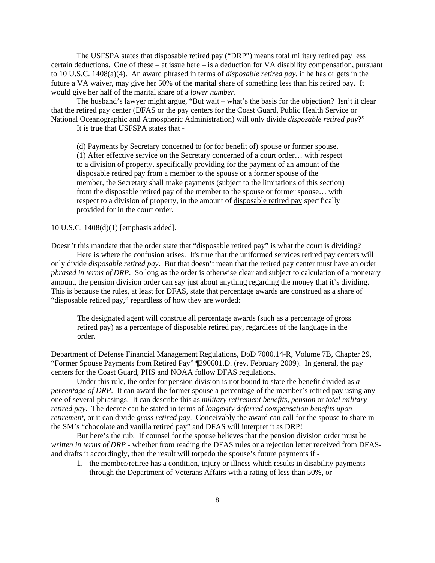The USFSPA states that disposable retired pay ("DRP") means total military retired pay less certain deductions. One of these – at issue here – is a deduction for VA disability compensation, pursuant to 10 U.S.C. 1408(a)(4). An award phrased in terms of *disposable retired pay*, if he has or gets in the future a VA waiver, may give her 50% of the marital share of something less than his retired pay. It would give her half of the marital share of a *lower number*.

The husband's lawyer might argue, "But wait – what's the basis for the objection? Isn't it clear that the retired pay center (DFAS or the pay centers for the Coast Guard, Public Health Service or National Oceanographic and Atmospheric Administration) will only divide *disposable retired pay*?"

It is true that USFSPA states that -

(d) Payments by Secretary concerned to (or for benefit of) spouse or former spouse. (1) After effective service on the Secretary concerned of a court order… with respect to a division of property, specifically providing for the payment of an amount of the disposable retired pay from a member to the spouse or a former spouse of the member, the Secretary shall make payments (subject to the limitations of this section) from the disposable retired pay of the member to the spouse or former spouse… with respect to a division of property, in the amount of disposable retired pay specifically provided for in the court order.

10 U.S.C. 1408(d)(1) [emphasis added].

Doesn't this mandate that the order state that "disposable retired pay" is what the court is dividing? Here is where the confusion arises. It's true that the uniformed services retired pay centers will only divide *disposable retired pay*. But that doesn't mean that the retired pay center must have an order *phrased in terms of DRP*. So long as the order is otherwise clear and subject to calculation of a monetary amount, the pension division order can say just about anything regarding the money that it's dividing. This is because the rules, at least for DFAS, state that percentage awards are construed as a share of "disposable retired pay," regardless of how they are worded:

The designated agent will construe all percentage awards (such as a percentage of gross retired pay) as a percentage of disposable retired pay, regardless of the language in the order.

Department of Defense Financial Management Regulations, DoD 7000.14-R, Volume 7B, Chapter 29, "Former Spouse Payments from Retired Pay" ¶290601.D. (rev. February 2009). In general, the pay centers for the Coast Guard, PHS and NOAA follow DFAS regulations.

Under this rule, the order for pension division is not bound to state the benefit divided as *a percentage of DRP*. It can award the former spouse a percentage of the member's retired pay using any one of several phrasings. It can describe this as *military retirement benefits, pension* or *total military retired pay.* The decree can be stated in terms of *longevity deferred compensation benefits upon retirement*, or it can divide *gross retired pay*. Conceivably the award can call for the spouse to share in the SM's "chocolate and vanilla retired pay" and DFAS will interpret it as DRP!

But here's the rub. If counsel for the spouse believes that the pension division order must be *written in terms of DRP* - whether from reading the DFAS rules or a rejection letter received from DFASand drafts it accordingly, then the result will torpedo the spouse's future payments if -

1. the member/retiree has a condition, injury or illness which results in disability payments through the Department of Veterans Affairs with a rating of less than 50%, or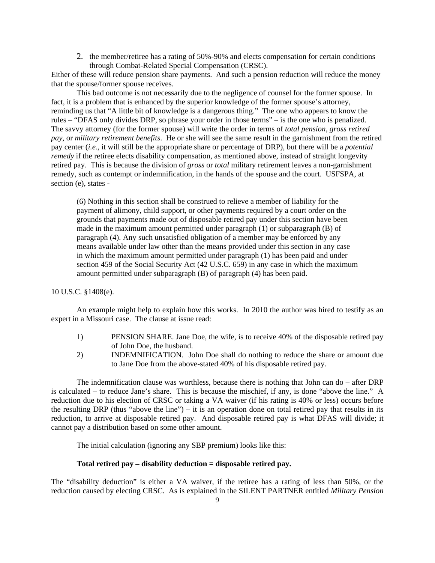2. the member/retiree has a rating of 50%-90% and elects compensation for certain conditions through Combat-Related Special Compensation (CRSC).

Either of these will reduce pension share payments. And such a pension reduction will reduce the money that the spouse/former spouse receives.

This bad outcome is not necessarily due to the negligence of counsel for the former spouse. In fact, it is a problem that is enhanced by the superior knowledge of the former spouse's attorney, reminding us that "A little bit of knowledge is a dangerous thing." The one who appears to know the rules – "DFAS only divides DRP, so phrase your order in those terms" – is the one who is penalized. The savvy attorney (for the former spouse) will write the order in terms of *total pension*, *gross retired pay*, or *military retirement benefits*. He or she will see the same result in the garnishment from the retired pay center (*i.e.*, it will still be the appropriate share or percentage of DRP), but there will be a *potential remedy* if the retiree elects disability compensation, as mentioned above, instead of straight longevity retired pay. This is because the division of *gross* or *total* military retirement leaves a non-garnishment remedy, such as contempt or indemnification, in the hands of the spouse and the court. USFSPA, at section (e), states -

(6) Nothing in this section shall be construed to relieve a member of liability for the payment of alimony, child support, or other payments required by a court order on the grounds that payments made out of disposable retired pay under this section have been made in the maximum amount permitted under paragraph (1) or subparagraph (B) of paragraph (4). Any such unsatisfied obligation of a member may be enforced by any means available under law other than the means provided under this section in any case in which the maximum amount permitted under paragraph (1) has been paid and under section 459 of the Social Security Act (42 U.S.C. 659) in any case in which the maximum amount permitted under subparagraph (B) of paragraph (4) has been paid.

10 U.S.C. §1408(e).

An example might help to explain how this works. In 2010 the author was hired to testify as an expert in a Missouri case. The clause at issue read:

- 1) PENSION SHARE. Jane Doe, the wife, is to receive 40% of the disposable retired pay of John Doe, the husband.
- 2) INDEMNIFICATION. John Doe shall do nothing to reduce the share or amount due to Jane Doe from the above-stated 40% of his disposable retired pay.

The indemnification clause was worthless, because there is nothing that John can do – after DRP is calculated – to reduce Jane's share. This is because the mischief, if any, is done "above the line." A reduction due to his election of CRSC or taking a VA waiver (if his rating is 40% or less) occurs before the resulting DRP (thus "above the line") – it is an operation done on total retired pay that results in its reduction, to arrive at disposable retired pay. And disposable retired pay is what DFAS will divide; it cannot pay a distribution based on some other amount.

The initial calculation (ignoring any SBP premium) looks like this:

#### **Total retired pay – disability deduction = disposable retired pay.**

The "disability deduction" is either a VA waiver, if the retiree has a rating of less than 50%, or the reduction caused by electing CRSC. As is explained in the SILENT PARTNER entitled *Military Pension*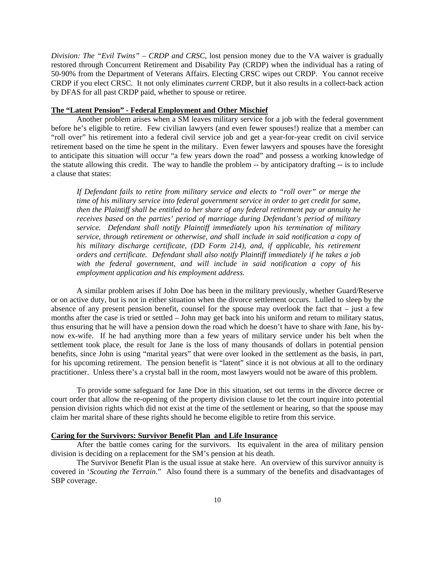*Division: The "Evil Twins" – CRDP and CRSC*, lost pension money due to the VA waiver is gradually restored through Concurrent Retirement and Disability Pay (CRDP) when the individual has a rating of 50-90% from the Department of Veterans Affairs. Electing CRSC wipes out CRDP. You cannot receive CRDP if you elect CRSC. It not only eliminates *current* CRDP, but it also results in a collect-back action by DFAS for all past CRDP paid, whether to spouse or retiree.

#### **The "Latent Pension" - Federal Employment and Other Mischief**

Another problem arises when a SM leaves military service for a job with the federal government before he's eligible to retire. Few civilian lawyers (and even fewer spouses!) realize that a member can "roll over" his retirement into a federal civil service job and get a year-for-year credit on civil service retirement based on the time he spent in the military. Even fewer lawyers and spouses have the foresight to anticipate this situation will occur "a few years down the road" and possess a working knowledge of the statute allowing this credit. The way to handle the problem -- by anticipatory drafting -- is to include a clause that states:

*If Defendant fails to retire from military service and elects to "roll over" or merge the time of his military service into federal government service in order to get credit for same, then the Plaintiff shall be entitled to her share of any federal retirement pay or annuity he receives based on the parties' period of marriage during Defendant's period of military service. Defendant shall notify Plaintiff immediately upon his termination of military service, through retirement or otherwise, and shall include in said notification a copy of his military discharge certificate, (DD Form 214), and, if applicable, his retirement orders and certificate. Defendant shall also notify Plaintiff immediately if he takes a job with the federal government, and will include in said notification a copy of his employment application and his employment address.*

A similar problem arises if John Doe has been in the military previously, whether Guard/Reserve or on active duty, but is not in either situation when the divorce settlement occurs. Lulled to sleep by the absence of any present pension benefit, counsel for the spouse may overlook the fact that – just a few months after the case is tried or settled – John may get back into his uniform and return to military status, thus ensuring that he will have a pension down the road which he doesn't have to share with Jane, his bynow ex-wife. If he had anything more than a few years of military service under his belt when the settlement took place, the result for Jane is the loss of many thousands of dollars in potential pension benefits, since John is using "marital years" that were over looked in the settlement as the basis, in part, for his upcoming retirement. The pension benefit is "latent" since it is not obvious at all to the ordinary practitioner. Unless there's a crystal ball in the room, most lawyers would not be aware of this problem.

To provide some safeguard for Jane Doe in this situation, set out terms in the divorce decree or court order that allow the re-opening of the property division clause to let the court inquire into potential pension division rights which did not exist at the time of the settlement or hearing, so that the spouse may claim her marital share of these rights should he become eligible to retire from this service.

## **Caring for the Survivors: Survivor Benefit Plan and Life Insurance**

After the battle comes caring for the survivors. Its equivalent in the area of military pension division is deciding on a replacement for the SM's pension at his death.

The Survivor Benefit Plan is the usual issue at stake here. An overview of this survivor annuity is covered in '*Scouting the Terrain*." Also found there is a summary of the benefits and disadvantages of SBP coverage.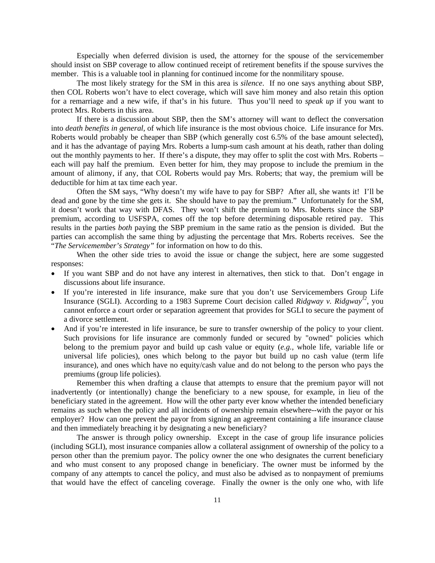Especially when deferred division is used, the attorney for the spouse of the servicemember should insist on SBP coverage to allow continued receipt of retirement benefits if the spouse survives the member. This is a valuable tool in planning for continued income for the nonmilitary spouse.

The most likely strategy for the SM in this area is *silence*. If no one says anything about SBP, then COL Roberts won't have to elect coverage, which will save him money and also retain this option for a remarriage and a new wife, if that's in his future. Thus you'll need to *speak up* if you want to protect Mrs. Roberts in this area.

If there is a discussion about SBP, then the SM's attorney will want to deflect the conversation into *death benefits in general*, of which life insurance is the most obvious choice. Life insurance for Mrs. Roberts would probably be cheaper than SBP (which generally cost 6.5% of the base amount selected), and it has the advantage of paying Mrs. Roberts a lump-sum cash amount at his death, rather than doling out the monthly payments to her. If there's a dispute, they may offer to split the cost with Mrs. Roberts – each will pay half the premium. Even better for him, they may propose to include the premium in the amount of alimony, if any, that COL Roberts would pay Mrs. Roberts; that way, the premium will be deductible for him at tax time each year.

Often the SM says, "Why doesn't my wife have to pay for SBP? After all, she wants it! I'll be dead and gone by the time she gets it. She should have to pay the premium." Unfortunately for the SM, it doesn't work that way with DFAS. They won't shift the premium to Mrs. Roberts since the SBP premium, according to USFSPA, comes off the top before determining disposable retired pay. This results in the parties *both* paying the SBP premium in the same ratio as the pension is divided. But the parties can accomplish the same thing by adjusting the percentage that Mrs. Roberts receives. See the "*The Servicemember's Strategy"* for information on how to do this.

 When the other side tries to avoid the issue or change the subject, here are some suggested responses:

- If you want SBP and do not have any interest in alternatives, then stick to that. Don't engage in discussions about life insurance.
- If you're interested in life insurance, make sure that you don't use Servicemembers Group Life Insurance (SGLI). According to a 1983 Supreme Court decision called *Ridgway v. Ridgway12*, you cannot enforce a court order or separation agreement that provides for SGLI to secure the payment of a divorce settlement.
- And if you're interested in life insurance, be sure to transfer ownership of the policy to your client. Such provisions for life insurance are commonly funded or secured by "owned" policies which belong to the premium payor and build up cash value or equity (*e.g.,* whole life, variable life or universal life policies), ones which belong to the payor but build up no cash value (term life insurance), and ones which have no equity/cash value and do not belong to the person who pays the premiums (group life policies).

 Remember this when drafting a clause that attempts to ensure that the premium payor will not inadvertently (or intentionally) change the beneficiary to a new spouse, for example, in lieu of the beneficiary stated in the agreement. How will the other party ever know whether the intended beneficiary remains as such when the policy and all incidents of ownership remain elsewhere--with the payor or his employer? How can one prevent the payor from signing an agreement containing a life insurance clause and then immediately breaching it by designating a new beneficiary?

 The answer is through policy ownership. Except in the case of group life insurance policies (including SGLI), most insurance companies allow a collateral assignment of ownership of the policy to a person other than the premium payor. The policy owner the one who designates the current beneficiary and who must consent to any proposed change in beneficiary. The owner must be informed by the company of any attempts to cancel the policy, and must also be advised as to nonpayment of premiums that would have the effect of canceling coverage. Finally the owner is the only one who, with life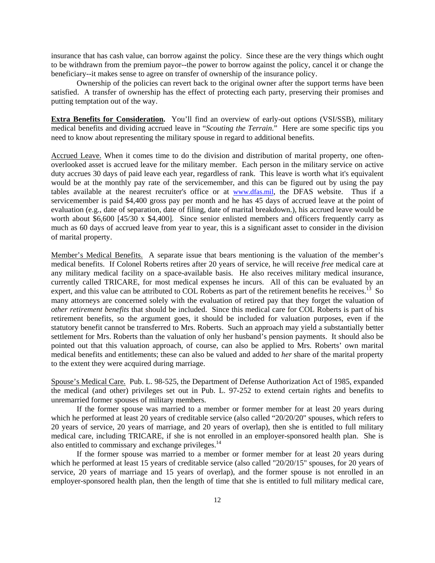insurance that has cash value, can borrow against the policy. Since these are the very things which ought to be withdrawn from the premium payor--the power to borrow against the policy, cancel it or change the beneficiary--it makes sense to agree on transfer of ownership of the insurance policy.

 Ownership of the policies can revert back to the original owner after the support terms have been satisfied. A transfer of ownership has the effect of protecting each party, preserving their promises and putting temptation out of the way.

**Extra Benefits for Consideration.** You'll find an overview of early-out options (VSI/SSB), military medical benefits and dividing accrued leave in "*Scouting the Terrain*." Here are some specific tips you need to know about representing the military spouse in regard to additional benefits.

Accrued Leave. When it comes time to do the division and distribution of marital property, one oftenoverlooked asset is accrued leave for the military member. Each person in the military service on active duty accrues 30 days of paid leave each year, regardless of rank. This leave is worth what it's equivalent would be at the monthly pay rate of the servicemember, and this can be figured out by using the pay tables available at the nearest recruiter's office or at www.dfas.mil, the DFAS website. Thus if a servicemember is paid \$4,400 gross pay per month and he has 45 days of accrued leave at the point of evaluation (e.g., date of separation, date of filing, date of marital breakdown.), his accrued leave would be worth about \$6,600 [45/30 x \$4,400]. Since senior enlisted members and officers frequently carry as much as 60 days of accrued leave from year to year, this is a significant asset to consider in the division of marital property.

Member's Medical Benefits. A separate issue that bears mentioning is the valuation of the member's medical benefits. If Colonel Roberts retires after 20 years of service, he will receive *free* medical care at any military medical facility on a space-available basis. He also receives military medical insurance, currently called TRICARE, for most medical expenses he incurs. All of this can be evaluated by an expert, and this value can be attributed to COL Roberts as part of the retirement benefits he receives.<sup>13</sup> So many attorneys are concerned solely with the evaluation of retired pay that they forget the valuation of *other retirement benefits* that should be included. Since this medical care for COL Roberts is part of his retirement benefits, so the argument goes, it should be included for valuation purposes, even if the statutory benefit cannot be transferred to Mrs. Roberts. Such an approach may yield a substantially better settlement for Mrs. Roberts than the valuation of only her husband's pension payments. It should also be pointed out that this valuation approach, of course, can also be applied to Mrs. Roberts' own marital medical benefits and entitlements; these can also be valued and added to *her* share of the marital property to the extent they were acquired during marriage.

Spouse's Medical Care. Pub. L. 98-525, the Department of Defense Authorization Act of 1985, expanded the medical (and other) privileges set out in Pub. L. 97-252 to extend certain rights and benefits to unremarried former spouses of military members.

 If the former spouse was married to a member or former member for at least 20 years during which he performed at least 20 years of creditable service (also called "20/20/20" spouses, which refers to 20 years of service, 20 years of marriage, and 20 years of overlap), then she is entitled to full military medical care, including TRICARE, if she is not enrolled in an employer-sponsored health plan. She is also entitled to commissary and exchange privileges.<sup>14</sup>

 If the former spouse was married to a member or former member for at least 20 years during which he performed at least 15 years of creditable service (also called "20/20/15" spouses, for 20 years of service, 20 years of marriage and 15 years of overlap), and the former spouse is not enrolled in an employer-sponsored health plan, then the length of time that she is entitled to full military medical care,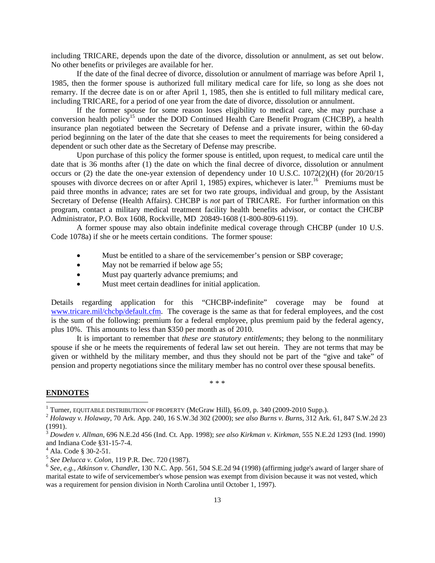including TRICARE, depends upon the date of the divorce, dissolution or annulment, as set out below. No other benefits or privileges are available for her.

 If the date of the final decree of divorce, dissolution or annulment of marriage was before April 1, 1985, then the former spouse is authorized full military medical care for life, so long as she does not remarry. If the decree date is on or after April 1, 1985, then she is entitled to full military medical care, including TRICARE, for a period of one year from the date of divorce, dissolution or annulment.

 If the former spouse for some reason loses eligibility to medical care, she may purchase a conversion health policy<sup>15</sup> under the DOD Continued Health Care Benefit Program (CHCBP), a health insurance plan negotiated between the Secretary of Defense and a private insurer, within the 60-day period beginning on the later of the date that she ceases to meet the requirements for being considered a dependent or such other date as the Secretary of Defense may prescribe.

 Upon purchase of this policy the former spouse is entitled, upon request, to medical care until the date that is 36 months after (1) the date on which the final decree of divorce, dissolution or annulment occurs or (2) the date the one-year extension of dependency under 10 U.S.C. 1072(2)(H) (for 20/20/15 spouses with divorce decrees on or after April 1, 1985) expires, whichever is later.<sup>16</sup> Premiums must be paid three months in advance; rates are set for two rate groups, individual and group, by the Assistant Secretary of Defense (Health Affairs). CHCBP is *not* part of TRICARE. For further information on this program, contact a military medical treatment facility health benefits advisor, or contact the CHCBP Administrator, P.O. Box 1608, Rockville, MD 20849-1608 (1-800-809-6119).

 A former spouse may also obtain indefinite medical coverage through CHCBP (under 10 U.S. Code 1078a) if she or he meets certain conditions. The former spouse:

- Must be entitled to a share of the servicemember's pension or SBP coverage;
- May not be remarried if below age 55;
- Must pay quarterly advance premiums; and
- Must meet certain deadlines for initial application.

Details regarding application for this "CHCBP-indefinite" coverage may be found at www.tricare.mil/chcbp/default.cfm. The coverage is the same as that for federal employees, and the cost is the sum of the following: premium for a federal employee, plus premium paid by the federal agency, plus 10%. This amounts to less than \$350 per month as of 2010.

 It is important to remember that *these are statutory entitlements*; they belong to the nonmilitary spouse if she or he meets the requirements of federal law set out herein. They are not terms that may be given or withheld by the military member, and thus they should not be part of the "give and take" of pension and property negotiations since the military member has no control over these spousal benefits.

 $* * *$ 

# **ENDNOTES**

l

<sup>&</sup>lt;sup>1</sup> Turner, EQUITABLE DISTRIBUTION OF PROPERTY (McGraw Hill),  $\S6.09$ , p. 340 (2009-2010 Supp.).

 $^{2}$  Holaway v. Holaway, 70 Ark. App. 240, 16 S.W.3d 302 (2000); see also Burns v. Burns, 312 Ark. 61, 847 S.W.2d 23 (1991).

<sup>3</sup> *Dowden v. Allman*, 696 N.E.2d 456 (Ind. Ct. App. 1998); *see also Kirkman v. Kirkman*, 555 N.E.2d 1293 (Ind. 1990) and Indiana Code §31-15-7-4.

<sup>4</sup> Ala. Code § 30-2-51.

<sup>&</sup>lt;sup>5</sup> See Delucca v. Colon, 119 P.R. Dec. 720 (1987).<br><sup>6</sup> See, e.g., Atkinson v. Chandler, 130 N.C. App. 561, 504 S.E.2d 94 (1998) (affirming judge's award of larger share of marital estate to wife of servicemember's whose pension was exempt from division because it was not vested, which was a requirement for pension division in North Carolina until October 1, 1997).